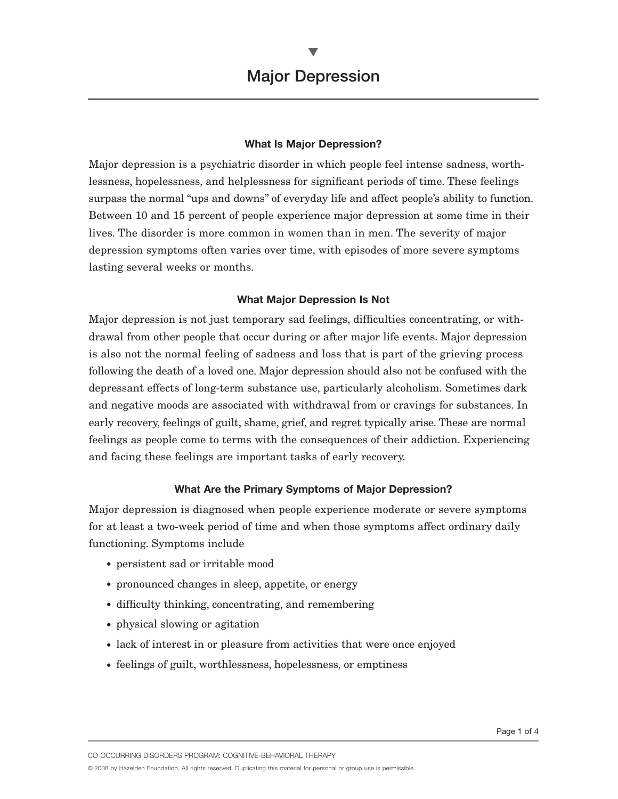### **What Is Major Depression?**

Major depression is a psychiatric disorder in which people feel intense sadness, worthlessness, hopelessness, and helplessness for significant periods of time. These feelings surpass the normal "ups and downs" of everyday life and affect people's ability to function. Between 10 and 15 percent of people experience major depression at some time in their lives. The disorder is more common in women than in men. The severity of major depression symptoms often varies over time, with episodes of more severe symptoms lasting several weeks or months.

## **What Major Depression Is Not**

Major depression is not just temporary sad feelings, difficulties concentrating, or withdrawal from other people that occur during or after major life events. Major depression is also not the normal feeling of sadness and loss that is part of the grieving process following the death of a loved one. Major depression should also not be confused with the depressant effects of long-term substance use, particularly alcoholism. Sometimes dark and negative moods are associated with withdrawal from or cravings for substances. In early recovery, feelings of guilt, shame, grief, and regret typically arise. These are normal feelings as people come to terms with the consequences of their addiction. Experiencing and facing these feelings are important tasks of early recovery.

### **What Are the Primary Symptoms of Major Depression?**

Major depression is diagnosed when people experience moderate or severe symptoms for at least a two-week period of time and when those symptoms affect ordinary daily functioning. Symptoms include

- persistent sad or irritable mood
- pronounced changes in sleep, appetite, or energy
- difficulty thinking, concentrating, and remembering
- physical slowing or agitation
- lack of interest in or pleasure from activities that were once enjoyed
- feelings of guilt, worthlessness, hopelessness, or emptiness

CO-OCCURRING DISORDERS PROGRAM: COGNITIVE-BEHAVIORAL THERAPY

© 2008 by Hazelden Foundation. All rights reserved. Duplicating this material for personal or group use is permissible.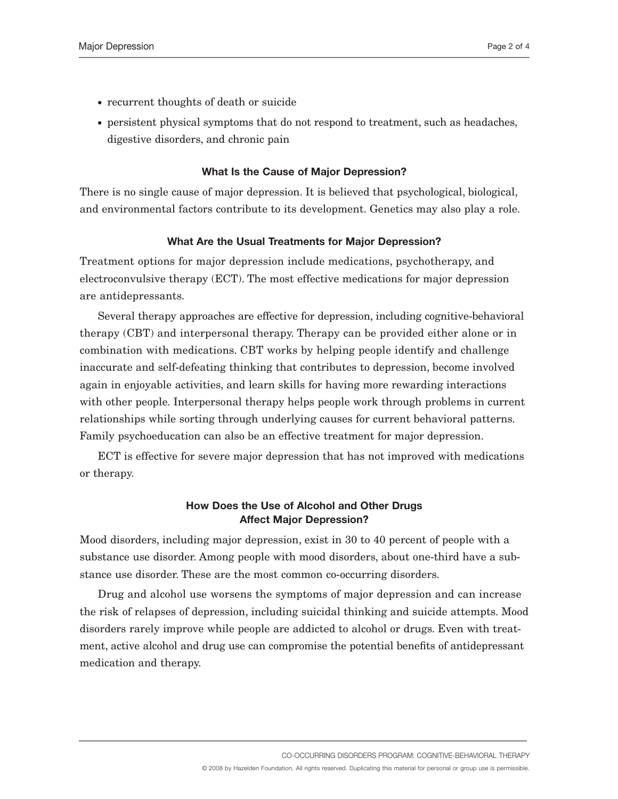- recurrent thoughts of death or suicide
- persistent physical symptoms that do not respond to treatment, such as headaches, digestive disorders, and chronic pain

### **What Is the Cause of Major Depression?**

There is no single cause of major depression. It is believed that psychological, biological, and environmental factors contribute to its development. Genetics may also play a role.

#### **What Are the Usual Treatments for Major Depression?**

Treatment options for major depression include medications, psychotherapy, and electroconvulsive therapy (ECT). The most effective medications for major depression are antidepressants.

Several therapy approaches are effective for depression, including cognitive-behavioral therapy (CBT) and interpersonal therapy. Therapy can be provided either alone or in combination with medications. CBT works by helping people identify and challenge inaccurate and self-defeating thinking that contributes to depression, become involved again in enjoyable activities, and learn skills for having more rewarding interactions with other people. Interpersonal therapy helps people work through problems in current relationships while sorting through underlying causes for current behavioral patterns. Family psychoeducation can also be an effective treatment for major depression.

ECT is effective for severe major depression that has not improved with medications or therapy.

## **How Does the Use of Alcohol and Other Drugs Affect Major Depression?**

Mood disorders, including major depression, exist in 30 to 40 percent of people with a substance use disorder. Among people with mood disorders, about one-third have a substance use disorder. These are the most common co-occurring disorders.

Drug and alcohol use worsens the symptoms of major depression and can increase the risk of relapses of depression, including suicidal thinking and suicide attempts. Mood disorders rarely improve while people are addicted to alcohol or drugs. Even with treatment, active alcohol and drug use can compromise the potential benefits of antidepressant medication and therapy.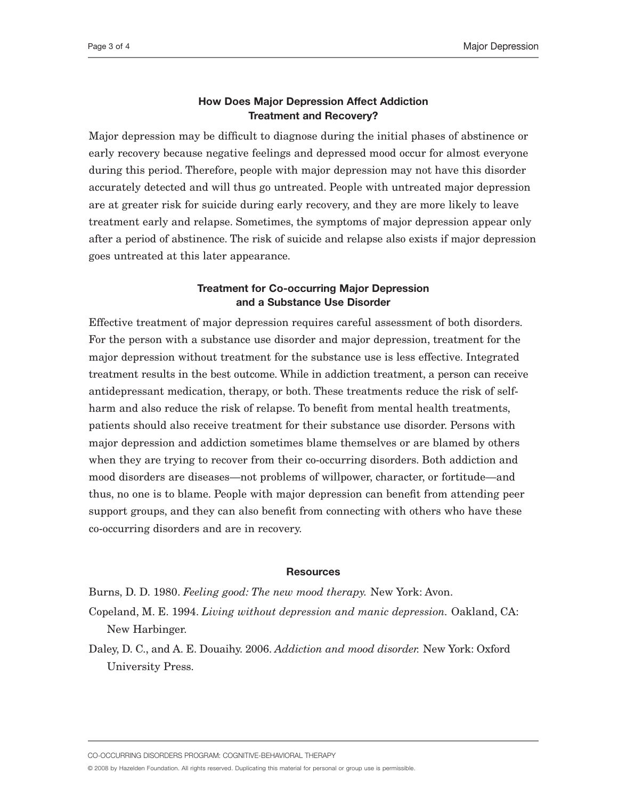## **How Does Major Depression Affect Addiction Treatment and Recovery?**

Major depression may be difficult to diagnose during the initial phases of abstinence or early recovery because negative feelings and depressed mood occur for almost everyone during this period. Therefore, people with major depression may not have this disorder accurately detected and will thus go untreated. People with untreated major depression are at greater risk for suicide during early recovery, and they are more likely to leave treatment early and relapse. Sometimes, the symptoms of major depression appear only after a period of abstinence. The risk of suicide and relapse also exists if major depression goes untreated at this later appearance.

# **Treatment for Co-occurring Major Depression and a Substance Use Disorder**

Effective treatment of major depression requires careful assessment of both disorders. For the person with a substance use disorder and major depression, treatment for the major depression without treatment for the substance use is less effective. Integrated treatment results in the best outcome. While in addiction treatment, a person can receive antidepressant medication, therapy, or both. These treatments reduce the risk of selfharm and also reduce the risk of relapse. To benefit from mental health treatments, patients should also receive treatment for their substance use disorder. Persons with major depression and addiction sometimes blame themselves or are blamed by others when they are trying to recover from their co-occurring disorders. Both addiction and mood disorders are diseases—not problems of willpower, character, or fortitude—and thus, no one is to blame. People with major depression can benefit from attending peer support groups, and they can also benefit from connecting with others who have these co-occurring disorders and are in recovery.

### **Resources**

Burns, D. D. 1980. *Feeling good: The new mood therapy.* New York: Avon.

- Copeland, M. E. 1994. *Living without depression and manic depression.* Oakland, CA: New Harbinger.
- Daley, D. C., and A. E. Douaihy. 2006. *Addiction and mood disorder.* New York: Oxford University Press.

CO-OCCURRING DISORDERS PROGRAM: COGNITIVE-BEHAVIORAL THERAPY

© 2008 by Hazelden Foundation. All rights reserved. Duplicating this material for personal or group use is permissible.